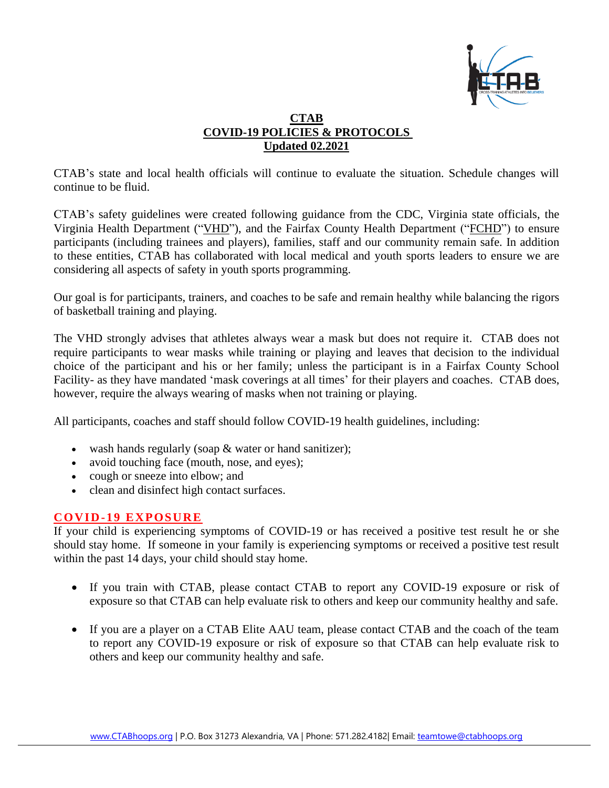

# **CTAB COVID-19 POLICIES & PROTOCOLS Updated 02.2021**

CTAB's state and local health officials will continue to evaluate the situation. Schedule changes will continue to be fluid.

CTAB's safety guidelines were created following guidance from the CDC, Virginia state officials, the Virginia Health Department ("VHD"), and the Fairfax County Health Department ("FCHD") to ensure participants (including trainees and players), families, staff and our community remain safe. In addition to these entities, CTAB has collaborated with local medical and youth sports leaders to ensure we are considering all aspects of safety in youth sports programming.

Our goal is for participants, trainers, and coaches to be safe and remain healthy while balancing the rigors of basketball training and playing.

The VHD strongly advises that athletes always wear a mask but does not require it. CTAB does not require participants to wear masks while training or playing and leaves that decision to the individual choice of the participant and his or her family; unless the participant is in a Fairfax County School Facility- as they have mandated 'mask coverings at all times' for their players and coaches. CTAB does, however, require the always wearing of masks when not training or playing.

All participants, coaches and staff should follow COVID-19 health guidelines, including:

- wash hands regularly (soap & water or hand sanitizer);
- avoid touching face (mouth, nose, and eyes);
- cough or sneeze into elbow; and
- clean and disinfect high contact surfaces.

# **COVID-19 EXPOSURE**

If your child is experiencing symptoms of COVID-19 or has received a positive test result he or she should stay home. If someone in your family is experiencing symptoms or received a positive test result within the past 14 days, your child should stay home.

- If you train with CTAB, please contact CTAB to report any COVID-19 exposure or risk of exposure so that CTAB can help evaluate risk to others and keep our community healthy and safe.
- If you are a player on a CTAB Elite AAU team, please contact CTAB and the coach of the team to report any COVID-19 exposure or risk of exposure so that CTAB can help evaluate risk to others and keep our community healthy and safe.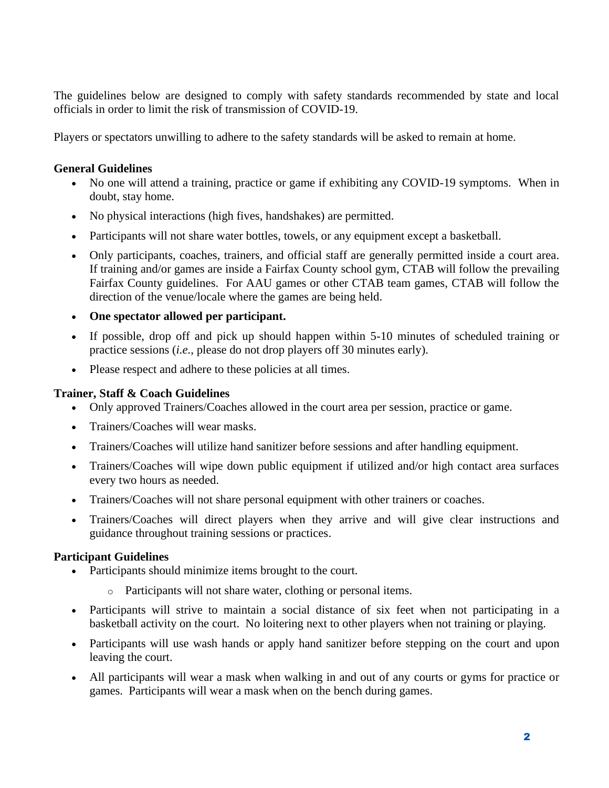The guidelines below are designed to comply with safety standards recommended by state and local officials in order to limit the risk of transmission of COVID-19.

Players or spectators unwilling to adhere to the safety standards will be asked to remain at home.

#### **General Guidelines**

- No one will attend a training, practice or game if exhibiting any COVID-19 symptoms. When in doubt, stay home.
- No physical interactions (high fives, handshakes) are permitted.
- Participants will not share water bottles, towels, or any equipment except a basketball.
- Only participants, coaches, trainers, and official staff are generally permitted inside a court area. If training and/or games are inside a Fairfax County school gym, CTAB will follow the prevailing Fairfax County guidelines. For AAU games or other CTAB team games, CTAB will follow the direction of the venue/locale where the games are being held.
- **One spectator allowed per participant.**
- If possible, drop off and pick up should happen within 5-10 minutes of scheduled training or practice sessions (*i.e.*, please do not drop players off 30 minutes early).
- Please respect and adhere to these policies at all times.

# **Trainer, Staff & Coach Guidelines**

- Only approved Trainers/Coaches allowed in the court area per session, practice or game.
- Trainers/Coaches will wear masks.
- Trainers/Coaches will utilize hand sanitizer before sessions and after handling equipment.
- Trainers/Coaches will wipe down public equipment if utilized and/or high contact area surfaces every two hours as needed.
- Trainers/Coaches will not share personal equipment with other trainers or coaches.
- Trainers/Coaches will direct players when they arrive and will give clear instructions and guidance throughout training sessions or practices.

# **Participant Guidelines**

- Participants should minimize items brought to the court.
	- o Participants will not share water, clothing or personal items.
- Participants will strive to maintain a social distance of six feet when not participating in a basketball activity on the court. No loitering next to other players when not training or playing.
- Participants will use wash hands or apply hand sanitizer before stepping on the court and upon leaving the court.
- All participants will wear a mask when walking in and out of any courts or gyms for practice or games. Participants will wear a mask when on the bench during games.